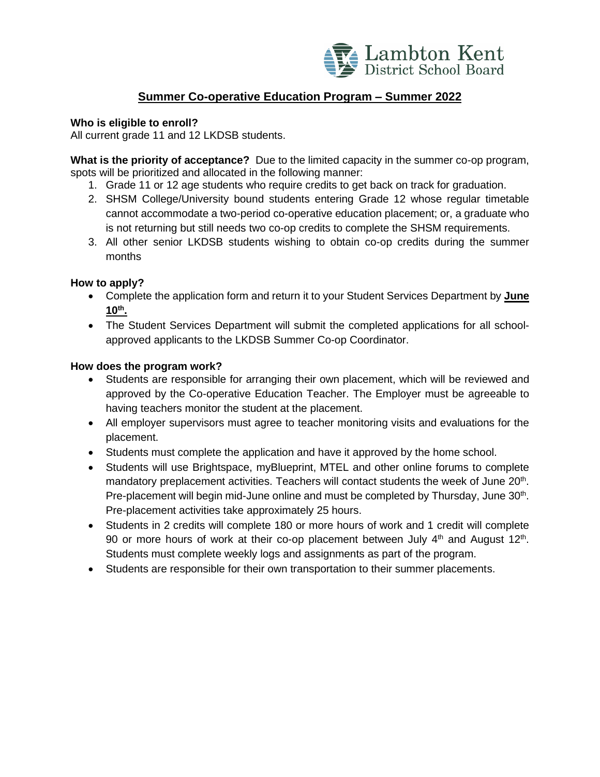

## **Summer Co-operative Education Program – Summer 2022**

### **Who is eligible to enroll?**

All current grade 11 and 12 LKDSB students.

**What is the priority of acceptance?** Due to the limited capacity in the summer co-op program, spots will be prioritized and allocated in the following manner:

- 1. Grade 11 or 12 age students who require credits to get back on track for graduation.
- 2. SHSM College/University bound students entering Grade 12 whose regular timetable cannot accommodate a two-period co-operative education placement; or, a graduate who is not returning but still needs two co-op credits to complete the SHSM requirements.
- 3. All other senior LKDSB students wishing to obtain co-op credits during the summer months

### **How to apply?**

- Complete the application form and return it to your Student Services Department by **June 10 th .**
- The Student Services Department will submit the completed applications for all schoolapproved applicants to the LKDSB Summer Co-op Coordinator.

### **How does the program work?**

- Students are responsible for arranging their own placement, which will be reviewed and approved by the Co-operative Education Teacher. The Employer must be agreeable to having teachers monitor the student at the placement.
- All employer supervisors must agree to teacher monitoring visits and evaluations for the placement.
- Students must complete the application and have it approved by the home school.
- Students will use Brightspace, myBlueprint, MTEL and other online forums to complete mandatory preplacement activities. Teachers will contact students the week of June 20<sup>th</sup>. Pre-placement will begin mid-June online and must be completed by Thursday, June 30<sup>th</sup>. Pre-placement activities take approximately 25 hours.
- Students in 2 credits will complete 180 or more hours of work and 1 credit will complete 90 or more hours of work at their co-op placement between July  $4<sup>th</sup>$  and August  $12<sup>th</sup>$ . Students must complete weekly logs and assignments as part of the program.
- Students are responsible for their own transportation to their summer placements.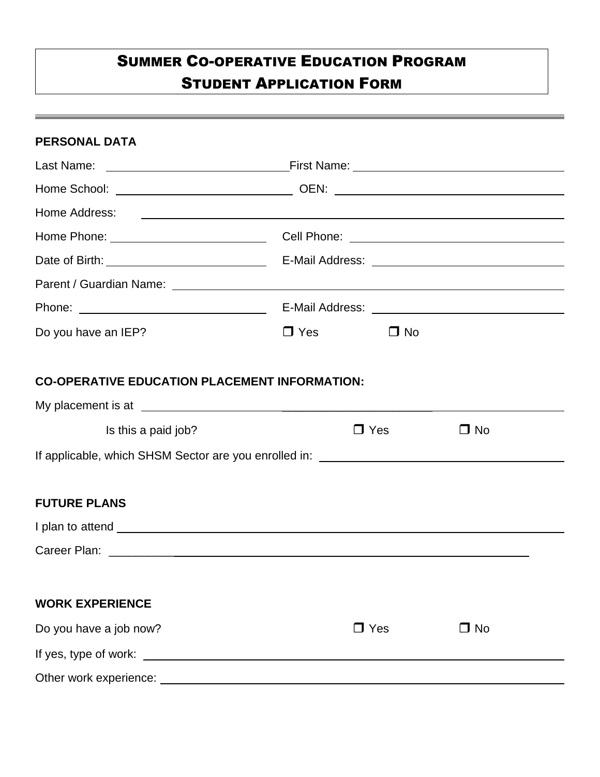# SUMMER CO-OPERATIVE EDUCATION PROGRAM STUDENT APPLICATION FORM

| <b>PERSONAL DATA</b>                                 |            |            |           |
|------------------------------------------------------|------------|------------|-----------|
|                                                      |            |            |           |
|                                                      |            |            |           |
|                                                      |            |            |           |
|                                                      |            |            |           |
|                                                      |            |            |           |
|                                                      |            |            |           |
|                                                      |            |            |           |
| Do you have an IEP?                                  | $\Box$ Yes | $\Box$ No  |           |
| <b>CO-OPERATIVE EDUCATION PLACEMENT INFORMATION:</b> |            |            |           |
|                                                      |            |            |           |
| Is this a paid job?                                  |            | $\Box$ Yes | $\Box$ No |
|                                                      |            |            |           |
| <b>FUTURE PLANS</b>                                  |            |            |           |
|                                                      |            |            |           |
|                                                      |            |            |           |
| <b>WORK EXPERIENCE</b>                               |            |            |           |
| Do you have a job now?                               |            | $\Box$ Yes | $\Box$ No |
|                                                      |            |            |           |
|                                                      |            |            |           |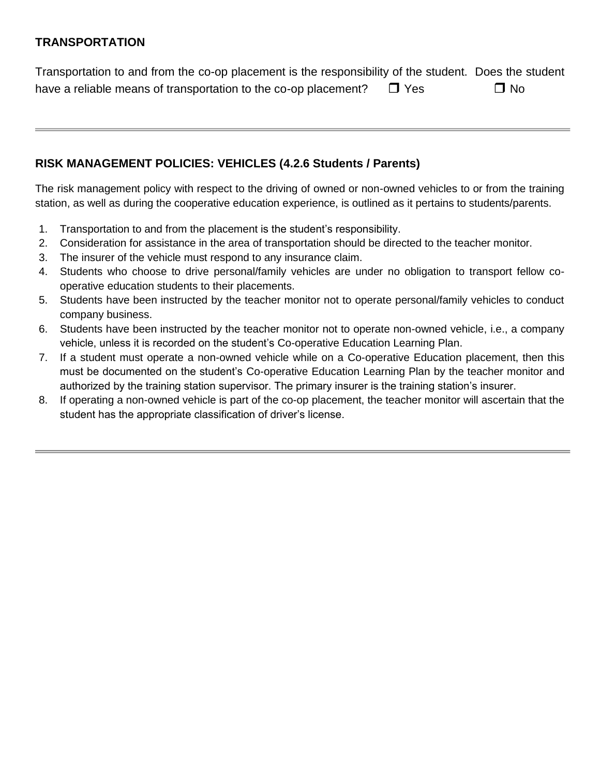# **TRANSPORTATION**

Transportation to and from the co-op placement is the responsibility of the student. Does the student have a reliable means of transportation to the co-op placement?  $\Box$  Yes  $\Box$  No

# **RISK MANAGEMENT POLICIES: VEHICLES (4.2.6 Students / Parents)**

The risk management policy with respect to the driving of owned or non-owned vehicles to or from the training station, as well as during the cooperative education experience, is outlined as it pertains to students/parents.

- 1. Transportation to and from the placement is the student's responsibility.
- 2. Consideration for assistance in the area of transportation should be directed to the teacher monitor.
- 3. The insurer of the vehicle must respond to any insurance claim.
- 4. Students who choose to drive personal/family vehicles are under no obligation to transport fellow cooperative education students to their placements.
- 5. Students have been instructed by the teacher monitor not to operate personal/family vehicles to conduct company business.
- 6. Students have been instructed by the teacher monitor not to operate non-owned vehicle, i.e., a company vehicle, unless it is recorded on the student's Co-operative Education Learning Plan.
- 7. If a student must operate a non-owned vehicle while on a Co-operative Education placement, then this must be documented on the student's Co-operative Education Learning Plan by the teacher monitor and authorized by the training station supervisor. The primary insurer is the training station's insurer.
- 8. If operating a non-owned vehicle is part of the co-op placement, the teacher monitor will ascertain that the student has the appropriate classification of driver's license.